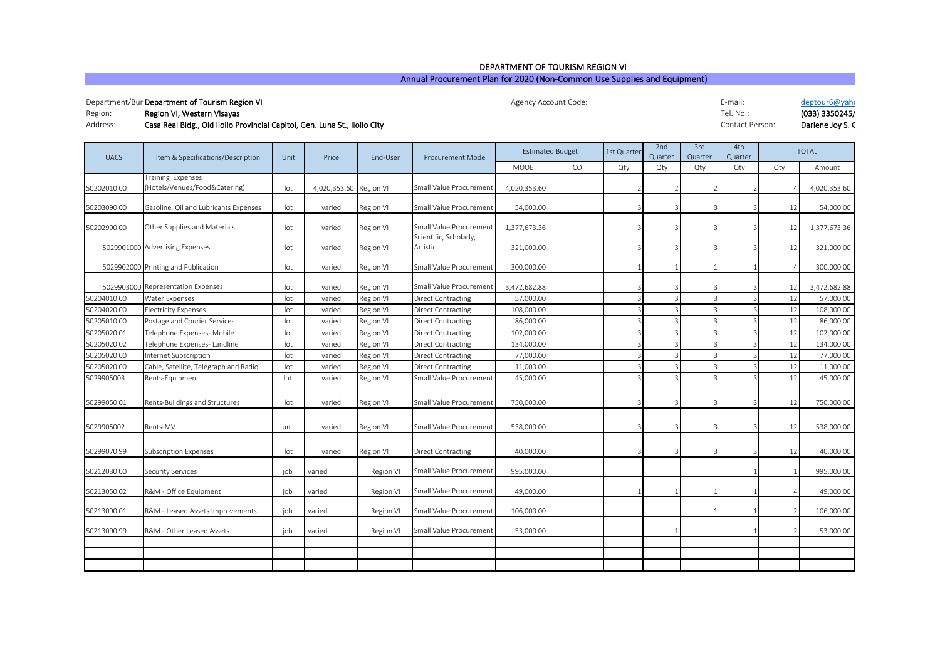## Annual Procurement Plan for 2020 (Non-Common Use Supplies and Equipment) DEPARTMENT OF TOURISM REGION VI

## Department/Bur **Department of Tourism Region VI** Publism 2012 of the Department of Tourism Region VI E-mail: Deptour6@yahoo.com Deptour6@yahoo.com Deptour6@yahoo.com Deptour6@yahoo.com Deptour6@yahoo.com Deptour6@yahoo.com

Agency Account Code:

| Region:  | Region VI, Western Visayas                                                 | Tel. No.:       | (033) 3350245/   |
|----------|----------------------------------------------------------------------------|-----------------|------------------|
| Address: | Casa Real Bldg., Old Iloilo Provincial Capitol, Gen. Luna St., Iloilo City | Contact Person: | Darlene Joy S. C |

| <b>UACS</b> | Item & Specifications/Description                  | Unit | Price                  | End-User  | <b>Procurement Mode</b>            | <b>Estimated Budget</b> |    | 1st Quarter | 2nd<br>3rd<br>Quarter<br>Quarter |     | 4th<br>Quarter | <b>TOTAL</b>  |              |
|-------------|----------------------------------------------------|------|------------------------|-----------|------------------------------------|-------------------------|----|-------------|----------------------------------|-----|----------------|---------------|--------------|
|             |                                                    |      |                        |           |                                    | MOOE                    | CO | Qty         | Qty                              | Qty | Qty            | Qty           | Amount       |
| 5020201000  | Training Expenses<br>(Hotels/Venues/Food&Catering) | lot  | 4,020,353.60 Region VI |           | Small Value Procurement            | 4,020,353.60            |    |             |                                  |     |                |               | 4,020,353.60 |
| 50203090 00 | Gasoline, Oil and Lubricants Expenses              | lot  | varied                 | Region VI | Small Value Procurement            | 54,000.00               |    |             |                                  |     |                | 12            | 54,000.00    |
| 5020299000  | Other Supplies and Materials                       | lot  | varied                 | Region VI | Small Value Procurement            | 1,377,673.36            |    |             |                                  |     | 3              | 12            | 1,377,673.36 |
|             | 5029901000 Advertising Expenses                    | lot  | varied                 | Region VI | Scientific, Scholarly,<br>Artistic | 321,000.00              |    |             |                                  |     |                | 12            | 321,000.00   |
|             | 5029902000 Printing and Publication                | lot  | varied                 | Region VI | Small Value Procurement            | 300,000.00              |    |             |                                  |     |                |               | 300,000.00   |
|             | 5029903000 Representation Expenses                 | lot  | varied                 | Region VI | Small Value Procurement            | 3,472,682.88            |    |             |                                  |     |                | 12            | 3,472,682.88 |
| 5020401000  | Water Expenses                                     | lot  | varied                 | Region VI | <b>Direct Contracting</b>          | 57,000.00               |    |             |                                  |     |                | 12            | 57,000.00    |
| 50204020 00 | <b>Electricity Expenses</b>                        | lot  | varied                 | Region VI | <b>Direct Contracting</b>          | 108,000.00              |    |             |                                  |     |                | 12            | 108,000.00   |
| 5020501000  | Postage and Courier Services                       | lot  | varied                 | Region VI | <b>Direct Contracting</b>          | 86,000.00               |    |             |                                  |     |                | 12            | 86,000.00    |
| 5020502001  | Telephone Expenses- Mobile                         | lot  | varied                 | Region VI | <b>Direct Contracting</b>          | 102,000.00              |    |             |                                  |     |                | 12            | 102,000.00   |
| 50205020 02 | Telephone Expenses- Landline                       | lot  | varied                 | Region VI | <b>Direct Contracting</b>          | 134,000.00              |    |             |                                  |     |                | 12            | 134,000.00   |
| 50205020 00 | nternet Subscription                               | lot  | varied                 | Region VI | <b>Direct Contracting</b>          | 77,000.00               |    |             |                                  |     |                | 12            | 77,000.00    |
| 50205020 00 | Cable, Satellite, Telegraph and Radio              | lot  | varied                 | Region VI | <b>Direct Contracting</b>          | 11,000.00               |    |             |                                  |     |                | 12            | 11,000.00    |
| 5029905003  | Rents-Equipment                                    | lot  | varied                 | Region VI | Small Value Procurement            | 45,000.00               |    |             |                                  |     |                | 12            | 45,000.00    |
| 5029905001  | Rents-Buildings and Structures                     | lot  | varied                 | Region VI | Small Value Procurement            | 750,000.00              |    |             |                                  |     |                | 12            | 750,000.00   |
| 5029905002  | Rents-MV                                           | unit | varied                 | Region VI | Small Value Procurement            | 538,000.00              |    |             |                                  |     |                | 12            | 538,000.00   |
| 5029907099  | <b>Subscription Expenses</b>                       | lot  | varied                 | Region VI | <b>Direct Contracting</b>          | 40,000.00               |    |             |                                  |     |                | 12            | 40,000.00    |
| 5021203000  | <b>Security Services</b>                           | job  | varied                 | Region VI | Small Value Procurement            | 995,000.00              |    |             |                                  |     |                |               | 995,000.00   |
| 5021305002  | R&M - Office Equipment                             | job  | varied                 | Region VI | Small Value Procurement            | 49,000.00               |    |             |                                  |     |                |               | 49,000.00    |
| 50213090 01 | R&M - Leased Assets Improvements                   | job  | varied                 | Region VI | Small Value Procurement            | 106,000.00              |    |             |                                  |     |                | $\mathcal{P}$ | 106,000.00   |
| 50213090 99 | R&M - Other Leased Assets                          | iob  | varied                 | Region VI | Small Value Procurement            | 53,000.00               |    |             |                                  |     |                |               | 53,000.00    |
|             |                                                    |      |                        |           |                                    |                         |    |             |                                  |     |                |               |              |
|             |                                                    |      |                        |           |                                    |                         |    |             |                                  |     |                |               |              |
|             |                                                    |      |                        |           |                                    |                         |    |             |                                  |     |                |               |              |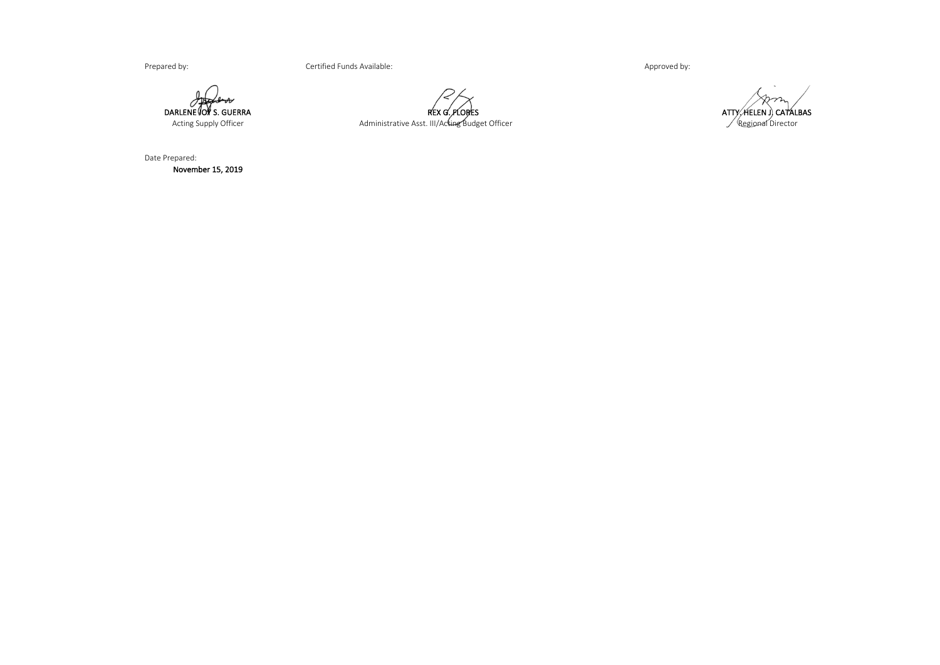Prepared by: example of the Certified Funds Available: Approved by: Approved by: Approved by:

 $\sigma$ DARLENE JOY S. GUERRA<br>Acting Supply Officer

Administrative Asst. III/Acting Budget Officer REX G. FLORES

Regional Director ATTY, HELEN J) CATALBAS

Date Prepared: November 15, 2019